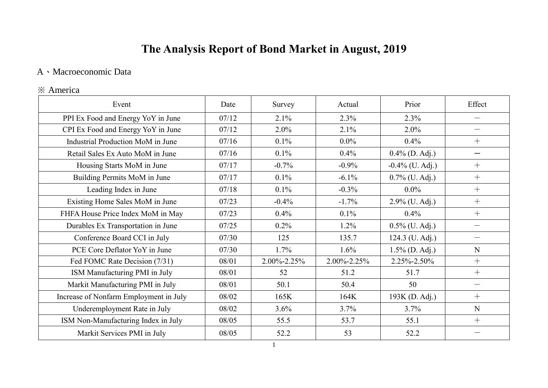# **The Analysis Report of Bond Market in August, 2019**

### A、Macroeconomic Data

### ※ America

| Event                                  | Date  | Survey      | Actual      | Prior              | Effect            |
|----------------------------------------|-------|-------------|-------------|--------------------|-------------------|
| PPI Ex Food and Energy YoY in June     | 07/12 | 2.1%        | 2.3%        | 2.3%               | $\equiv$          |
| CPI Ex Food and Energy YoY in June     | 07/12 | $2.0\%$     | 2.1%        | $2.0\%$            | $\qquad \qquad$   |
| Industrial Production MoM in June      | 07/16 | $0.1\%$     | $0.0\%$     | 0.4%               | $+$               |
| Retail Sales Ex Auto MoM in June       | 07/16 | $0.1\%$     | 0.4%        | $0.4\%$ (D. Adj.)  |                   |
| Housing Starts MoM in June             | 07/17 | $-0.7\%$    | $-0.9\%$    | $-0.4\%$ (U. Adj.) | $+$               |
| Building Permits MoM in June           | 07/17 | $0.1\%$     | $-6.1\%$    | $0.7\%$ (U. Adj.)  | $+$               |
| Leading Index in June                  | 07/18 | $0.1\%$     | $-0.3\%$    | $0.0\%$            | $+$               |
| Existing Home Sales MoM in June        | 07/23 | $-0.4%$     | $-1.7\%$    | $2.9\%$ (U. Adj.)  | $+$               |
| FHFA House Price Index MoM in May      | 07/23 | $0.4\%$     | 0.1%        | 0.4%               | $+$               |
| Durables Ex Transportation in June     | 07/25 | $0.2\%$     | 1.2%        | $0.5\%$ (U. Adj.)  |                   |
| Conference Board CCI in July           | 07/30 | 125         | 135.7       | 124.3 (U. Adj.)    |                   |
| PCE Core Deflator YoY in June          | 07/30 | 1.7%        | $1.6\%$     | $1.5\%$ (D. Adj.)  | N                 |
| Fed FOMC Rate Decision (7/31)          | 08/01 | 2.00%-2.25% | 2.00%-2.25% | 2.25%-2.50%        | $+$               |
| ISM Manufacturing PMI in July          | 08/01 | 52          | 51.2        | 51.7               | $+$               |
| Markit Manufacturing PMI in July       | 08/01 | 50.1        | 50.4        | 50                 | $\hspace{0.05cm}$ |
| Increase of Nonfarm Employment in July | 08/02 | 165K        | 164K        | 193K (D. Adj.)     | $+$               |
| Underemployment Rate in July           | 08/02 | $3.6\%$     | 3.7%        | 3.7%               | N                 |
| ISM Non-Manufacturing Index in July    | 08/05 | 55.5        | 53.7        | 55.1               | $+$               |
| Markit Services PMI in July            | 08/05 | 52.2        | 53          | 52.2               |                   |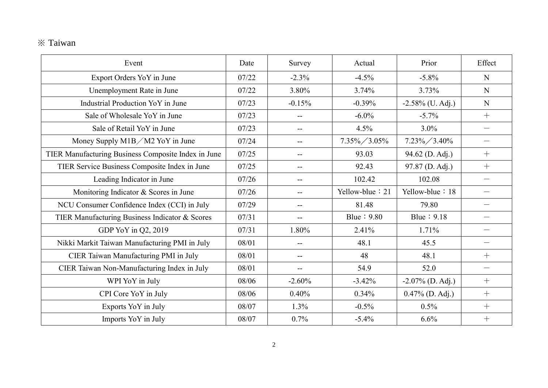## ※ Taiwan

| Event                                               | Date  | Survey                   | Actual          | Prior               | Effect                   |
|-----------------------------------------------------|-------|--------------------------|-----------------|---------------------|--------------------------|
| Export Orders YoY in June                           | 07/22 | $-2.3%$                  | $-4.5%$         | $-5.8\%$            | N                        |
| Unemployment Rate in June                           | 07/22 | 3.80%                    | 3.74%           | 3.73%               | N                        |
| Industrial Production YoY in June                   | 07/23 | $-0.15%$                 | $-0.39%$        | $-2.58\%$ (U. Adj.) | N                        |
| Sale of Wholesale YoY in June                       | 07/23 | --                       | $-6.0\%$        | $-5.7\%$            | $+$                      |
| Sale of Retail YoY in June                          | 07/23 | $-$                      | 4.5%            | $3.0\%$             | $\qquad \qquad$          |
| Money Supply M1B / M2 YoY in June                   | 07/24 | --                       | $7.35\%/3.05\%$ | $7.23\%/3.40\%$     | $\qquad \qquad$          |
| TIER Manufacturing Business Composite Index in June | 07/25 |                          | 93.03           | 94.62 (D. Adj.)     | $+$                      |
| TIER Service Business Composite Index in June       | 07/25 | --                       | 92.43           | 97.87 (D. Adj.)     | $+$                      |
| Leading Indicator in June                           | 07/26 | --                       | 102.42          | 102.08              | $\qquad \qquad$          |
| Monitoring Indicator & Scores in June               | 07/26 | --                       | Yellow-blue: 21 | Yellow-blue: 18     | $\overline{\phantom{0}}$ |
| NCU Consumer Confidence Index (CCI) in July         | 07/29 | $-$                      | 81.48           | 79.80               |                          |
| TIER Manufacturing Business Indicator & Scores      | 07/31 | --                       | Blue: 9.80      | Blue: 9.18          |                          |
| GDP YoY in Q2, 2019                                 | 07/31 | 1.80%                    | 2.41%           | 1.71%               |                          |
| Nikki Markit Taiwan Manufacturing PMI in July       | 08/01 | $- -$                    | 48.1            | 45.5                | $\overline{\phantom{0}}$ |
| CIER Taiwan Manufacturing PMI in July               | 08/01 | $\overline{\phantom{a}}$ | 48              | 48.1                | $+$                      |
| CIER Taiwan Non-Manufacturing Index in July         | 08/01 | $\overline{\phantom{a}}$ | 54.9            | 52.0                | $\equiv$                 |
| WPI YoY in July                                     | 08/06 | $-2.60%$                 | $-3.42%$        | $-2.07\%$ (D. Adj.) | $+$                      |
| CPI Core YoY in July                                | 08/06 | 0.40%                    | 0.34%           | $0.47\%$ (D. Adj.)  | $+$                      |
| Exports YoY in July                                 | 08/07 | 1.3%                     | $-0.5%$         | 0.5%                | $+$                      |
| Imports YoY in July                                 | 08/07 | 0.7%                     | $-5.4%$         | 6.6%                | $+$                      |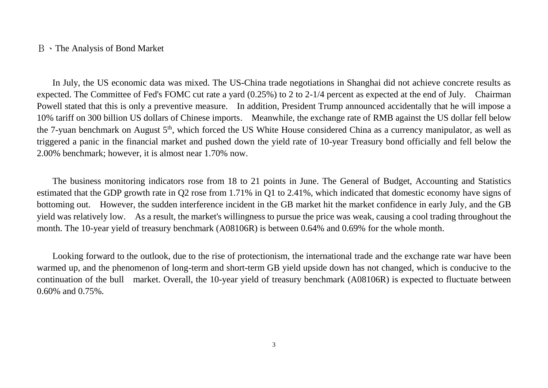#### B、The Analysis of Bond Market

In July, the US economic data was mixed. The US-China trade negotiations in Shanghai did not achieve concrete results as expected. The Committee of Fed's FOMC cut rate a yard (0.25%) to 2 to 2-1/4 percent as expected at the end of July. Chairman Powell stated that this is only a preventive measure. In addition, President Trump announced accidentally that he will impose a 10% tariff on 300 billion US dollars of Chinese imports. Meanwhile, the exchange rate of RMB against the US dollar fell below the 7-yuan benchmark on August 5<sup>th</sup>, which forced the US White House considered China as a currency manipulator, as well as triggered a panic in the financial market and pushed down the yield rate of 10-year Treasury bond officially and fell below the 2.00% benchmark; however, it is almost near 1.70% now.

The business monitoring indicators rose from 18 to 21 points in June. The General of Budget, Accounting and Statistics estimated that the GDP growth rate in Q2 rose from 1.71% in Q1 to 2.41%, which indicated that domestic economy have signs of bottoming out. However, the sudden interference incident in the GB market hit the market confidence in early July, and the GB yield was relatively low. As a result, the market's willingness to pursue the price was weak, causing a cool trading throughout the month. The 10-year yield of treasury benchmark (A08106R) is between 0.64% and 0.69% for the whole month.

Looking forward to the outlook, due to the rise of protectionism, the international trade and the exchange rate war have been warmed up, and the phenomenon of long-term and short-term GB yield upside down has not changed, which is conducive to the continuation of the bull market. Overall, the 10-year yield of treasury benchmark (A08106R) is expected to fluctuate between 0.60% and 0.75%.